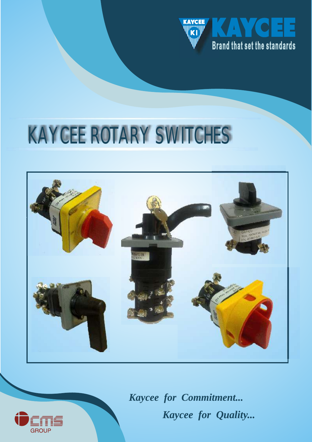

# KAYCEE ROTARY SWITCHES





*Kaycee for Commitment... Kaycee for Quality...*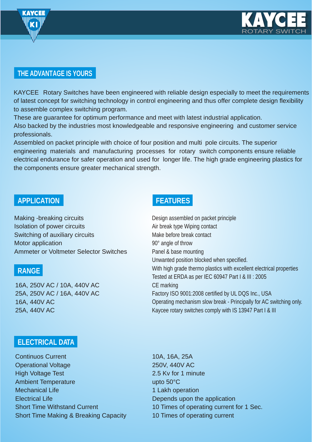



# **THE ADVANTAGE IS YOURS**

KAYCEE Rotary Switches have been engineered with reliable design especially to meet the requirements of latest concept for switching technology in control engineering and thus offer complete design flexibility to assemble complex switching program.

These are guarantee for optimum performance and meet with latest industrial application. Also backed by the industries most knowledgeable and responsive engineering and customer service professionals.

Assembled on packet principle with choice of four position and multi pole circuits. The superior engineering materials and manufacturing processes for rotary switch components ensure reliable electrical endurance for safer operation and used for longer life. The high grade engineering plastics for the components ensure greater mechanical strength.

# **APPLICATION**

Making -breaking circuits Isolation of power circuits Switching of auxiliary circuits Motor application Ammeter or Voltmeter Selector Switches

## **RANGE**

16A, 250V AC / 10A, 440V AC 25A, 250V AC / 16A, 440V AC 16A, 440V AC 25A, 440V AC

# **FEATURES**

Design assembled on packet principle Air break type Wiping contact Make before break contact 90° angle of throw Panel & base mounting Unwanted position blocked when specified. With high grade thermo plastics with excellent electrical properties Tested at ERDA as per IEC 60947 Part I & III : 2005 CE marking Factory ISO 9001:2008 certified by UL DQS Inc., USA Operating mechanism slow break - Principally for AC switching only. Kaycee rotary switches comply with IS 13947 Part I & III

## **ELECTRICAL DATA**

Continuos Current Operational Voltage High Voltage Test Ambient Temperature Mechanical Life Electrical Life Short Time Withstand Current Short Time Making & Breaking Capacity

10A, 16A, 25A 250V, 440V AC 2.5 Kv for 1 minute upto 50°C 1 Lakh operation Depends upon the application 10 Times of operating current for 1 Sec. 10 Times of operating current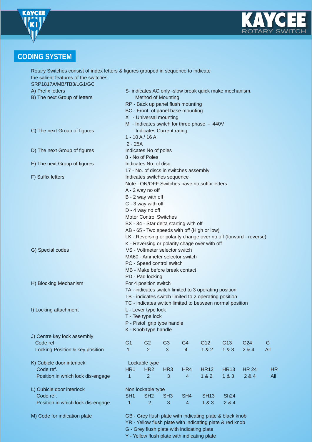



# **CODING SYSTEM**

| Rotary Switches consist of index letters & figures grouped in sequence to indicate |                                                                                                                |                                        |                 |                 |                                                          |                 |              |           |
|------------------------------------------------------------------------------------|----------------------------------------------------------------------------------------------------------------|----------------------------------------|-----------------|-----------------|----------------------------------------------------------|-----------------|--------------|-----------|
| the salient features of the switches.                                              |                                                                                                                |                                        |                 |                 |                                                          |                 |              |           |
| SRP1817A/MB/TB3/LG1/GC                                                             |                                                                                                                |                                        |                 |                 |                                                          |                 |              |           |
| A) Prefix letters                                                                  | S- indicates AC only -slow break quick make mechanism.                                                         |                                        |                 |                 |                                                          |                 |              |           |
| B) The next Group of letters                                                       | <b>Method of Mounting</b>                                                                                      |                                        |                 |                 |                                                          |                 |              |           |
|                                                                                    |                                                                                                                | RP - Back up panel flush mounting      |                 |                 |                                                          |                 |              |           |
|                                                                                    |                                                                                                                | BC - Front of panel base mounting      |                 |                 |                                                          |                 |              |           |
|                                                                                    |                                                                                                                | X - Universal mounting                 |                 |                 |                                                          |                 |              |           |
|                                                                                    |                                                                                                                |                                        |                 |                 |                                                          |                 |              |           |
|                                                                                    |                                                                                                                |                                        |                 |                 | M - Indicates switch for three phase - 440V              |                 |              |           |
| C) The next Group of figures                                                       |                                                                                                                | Indicates Current rating               |                 |                 |                                                          |                 |              |           |
|                                                                                    |                                                                                                                | $1 - 10A/16A$                          |                 |                 |                                                          |                 |              |           |
|                                                                                    | $2 - 25A$                                                                                                      |                                        |                 |                 |                                                          |                 |              |           |
| D) The next Group of figures                                                       | Indicates No of poles                                                                                          |                                        |                 |                 |                                                          |                 |              |           |
|                                                                                    | 8 - No of Poles                                                                                                |                                        |                 |                 |                                                          |                 |              |           |
| E) The next Group of figures                                                       |                                                                                                                | Indicates No. of disc                  |                 |                 |                                                          |                 |              |           |
|                                                                                    |                                                                                                                | 17 - No. of discs in switches assembly |                 |                 |                                                          |                 |              |           |
| F) Suffix letters                                                                  |                                                                                                                | Indicates switches sequence            |                 |                 |                                                          |                 |              |           |
|                                                                                    |                                                                                                                |                                        |                 |                 | Note: ON/OFF Switches have no suffix letters.            |                 |              |           |
|                                                                                    |                                                                                                                | A - 2 way no off                       |                 |                 |                                                          |                 |              |           |
|                                                                                    |                                                                                                                | B - 2 way with off                     |                 |                 |                                                          |                 |              |           |
|                                                                                    |                                                                                                                | C - 3 way with off                     |                 |                 |                                                          |                 |              |           |
|                                                                                    |                                                                                                                | D - 4 way no off                       |                 |                 |                                                          |                 |              |           |
|                                                                                    |                                                                                                                | <b>Motor Control Switches</b>          |                 |                 |                                                          |                 |              |           |
|                                                                                    |                                                                                                                | BX - 34 - Star delta starting with off |                 |                 |                                                          |                 |              |           |
|                                                                                    |                                                                                                                |                                        |                 |                 | AB - 65 - Two speeds with off (High or low)              |                 |              |           |
|                                                                                    | LK - Reversing or polarity change over no off (forward - reverse)                                              |                                        |                 |                 |                                                          |                 |              |           |
|                                                                                    | K - Reversing or polarity chage over with off                                                                  |                                        |                 |                 |                                                          |                 |              |           |
| G) Special codes                                                                   |                                                                                                                | VS - Voltmeter selector switch         |                 |                 |                                                          |                 |              |           |
|                                                                                    | MA60 - Ammeter selector switch                                                                                 |                                        |                 |                 |                                                          |                 |              |           |
|                                                                                    | PC - Speed control switch                                                                                      |                                        |                 |                 |                                                          |                 |              |           |
|                                                                                    |                                                                                                                | MB - Make before break contact         |                 |                 |                                                          |                 |              |           |
|                                                                                    | PD - Pad locking                                                                                               |                                        |                 |                 |                                                          |                 |              |           |
| H) Blocking Mechanism                                                              | For 4 position switch                                                                                          |                                        |                 |                 |                                                          |                 |              |           |
|                                                                                    |                                                                                                                |                                        |                 |                 |                                                          |                 |              |           |
|                                                                                    | TA - indicates switch limited to 3 operating position<br>TB - indicates switch limited to 2 operating position |                                        |                 |                 |                                                          |                 |              |           |
|                                                                                    | TC - indicates switch limited to between normal position                                                       |                                        |                 |                 |                                                          |                 |              |           |
|                                                                                    |                                                                                                                |                                        |                 |                 |                                                          |                 |              |           |
| I) Locking attachment                                                              |                                                                                                                | L - Lever type lock                    |                 |                 |                                                          |                 |              |           |
|                                                                                    | T - Tee type lock                                                                                              |                                        |                 |                 |                                                          |                 |              |           |
|                                                                                    | P - Pistol grip type handle<br>K - Knob type handle                                                            |                                        |                 |                 |                                                          |                 |              |           |
|                                                                                    |                                                                                                                |                                        |                 |                 |                                                          |                 |              |           |
| J) Centre key lock assembly                                                        |                                                                                                                |                                        |                 |                 |                                                          |                 |              |           |
| Code ref.                                                                          | G <sub>1</sub>                                                                                                 | G <sub>2</sub>                         | G <sub>3</sub>  | G4              | G12                                                      | G <sub>13</sub> | G24          | G         |
| Locking Position & key position                                                    | 1                                                                                                              | $\overline{2}$                         | 3               | $\overline{4}$  | 1 & 2                                                    | 1&8.3           | 2 & 4        | All       |
|                                                                                    |                                                                                                                |                                        |                 |                 |                                                          |                 |              |           |
| K) Cubicle door interlock                                                          |                                                                                                                | Lockable type                          |                 |                 |                                                          |                 |              |           |
| Code ref.                                                                          | HR <sub>1</sub>                                                                                                | HR <sub>2</sub>                        | HR <sub>3</sub> | HR4             | <b>HR12</b>                                              | <b>HR13</b>     | <b>HR 24</b> | <b>HR</b> |
| Position in which lock dis-engage                                                  | $\mathbf{1}$                                                                                                   | $\overline{2}$                         | 3               | $\overline{4}$  | 1 & 2                                                    | 1&8.3           | 284          | All       |
|                                                                                    |                                                                                                                |                                        |                 |                 |                                                          |                 |              |           |
| L) Cubicle door interlock                                                          |                                                                                                                | Non lockable type                      |                 |                 |                                                          |                 |              |           |
| Code ref.                                                                          | SH <sub>1</sub>                                                                                                | SH <sub>2</sub>                        | SH <sub>3</sub> | SH <sub>4</sub> | <b>SH13</b>                                              | <b>Sh24</b>     |              |           |
| Position in which lock dis-engage                                                  | 1                                                                                                              | $\overline{2}$                         | $\mathbf{3}$    | $\overline{4}$  | 1&8.3                                                    | 284             |              |           |
|                                                                                    |                                                                                                                |                                        |                 |                 |                                                          |                 |              |           |
| M) Code for indication plate                                                       |                                                                                                                |                                        |                 |                 | GB - Grey flush plate with indicating plate & black knob |                 |              |           |
|                                                                                    | YR - Yellow flush plate with indicating plate & red knob                                                       |                                        |                 |                 |                                                          |                 |              |           |
| G - Grey flush plate with indicating plate                                         |                                                                                                                |                                        |                 |                 |                                                          |                 |              |           |

Y - Yellow flush plate with indicating plate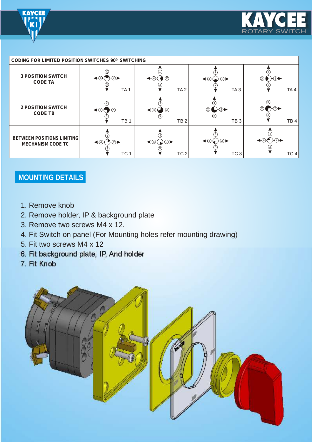



| <b>CODING FOR LIMITED POSITION SWITCHES 90° SWITCHING</b>     |                                                                 |                                                                   |                                                                                |                                                                                                              |  |
|---------------------------------------------------------------|-----------------------------------------------------------------|-------------------------------------------------------------------|--------------------------------------------------------------------------------|--------------------------------------------------------------------------------------------------------------|--|
| <b>3 POSITION SWITCH</b><br><b>CODE TA</b>                    | $\mathcal{H}(2)$<br>$\blacktriangleleft$ (4)<br>TA <sub>1</sub> | $\bullet$<br>$\bigstar$<br>TA <sub>2</sub>                        | $\leftarrow$ 4 $\leftarrow$ 2<br>TA <sub>3</sub>                               | $\textcircled{\tiny{\textcircled{\#}}}\ \textup{)+\textcircled{\tiny{\textcircled{\#}}}}$<br>TA <sub>4</sub> |  |
| <b>2 POSITION SWITCH</b><br><b>CODE TB</b>                    | ∞<br>$\blacktriangleleft$ (4)-<br>TB <sub>1</sub>               | $\bullet$<br>$\blacktriangleleft$ (4)-(<br>(X)<br>TB <sub>2</sub> | $\circledR$<br>→②▶<br>TB <sub>3</sub>                                          | $\bigcap$ $(2)$<br>(x)<br>TB <sub>4</sub>                                                                    |  |
| <b>BETWEEN POSITIONS LIMITING</b><br><b>MECHANISM CODE TC</b> | $\rightarrow$ $(2)$<br>$\bigoplus$<br>TC <sub>1</sub>           | $\triangleleft bigoplus$ $\bigoplus$<br>TC <sub>2</sub>           | $\bigoplus_{\mathcal{A}} \bigoplus_{\mathcal{A}} \bigoplus$<br>TC <sub>3</sub> | $\bigoplus$<br>$\mathsf{H}(2)$<br>TC <sub>4</sub>                                                            |  |

# **MOUNTING DETAILS**

- 1. Remove knob
- 2. Remove holder, IP & background plate
- 3. Remove two screws M4 x 12.
- 4. Fit Switch on panel (For Mounting holes refer mounting drawing)
- 5. Fit two screws M4 x 12
- 6. Fit background plate, IP, And holder
- 7. Fit Knob

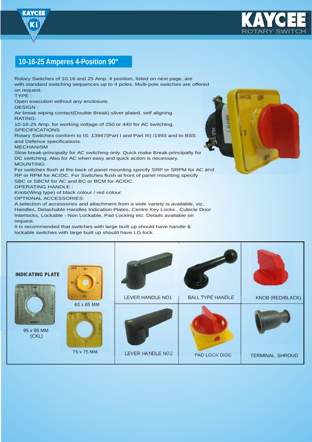



# **10-16-25 Amperes 4-Position 90°**

Rotary Switches of 10,16 and 25 Amp. 4 position, listed on next page, are with standard switching sequences up to 4 poles. Multi-pole switches are offered on request.

TYPE :

Open execution without any enclosure.

DESIGN :

Air break wiping contact(Double Break) silver plated, self aligning. RATING:

10-16-25 Amp. for working voltage of 250 or 440 for AC switching. **SPECIFICATIONS** 

Rotary Switches conform to IS: 13947(Part I and Part III) /1993 and to BSS and Defence specifications.

MECHANISM

Slow break-principally for AC switching only. Quick make Break-principally for DC switching. Also for AC when easy and quick action is necessary. MOUNTING:

For switches flush at the back of panel mounting specify SRP or SRPM for AC and RP or RPM for AC/DC. For Switches flush at front of panel mounting specify SBC or SBCM for AC and BC or BCM for AC/DC.

OPERATING HANDLE :

Knob(Wing type) of black colour / red colour.

OPTIONAL ACCESSORIES:

A selection of accessories and attachment from a wide variety is available, viz, Handles, Detachable Handles Indication Plates, Centre Key Locks , Cubicle Door Interlocks, Lockable - Non Lockable, Pad Locking etc. Details available on request.

It is recommended that switches with large built up should have handle & lockable switches with large built up should have LG lock.



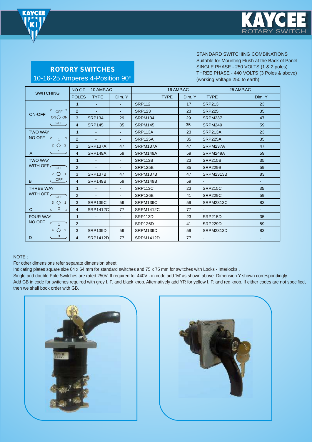



**ROTORY SWITCHES** 10-16-25 Amperes 4-Position 90º

#### STANDARD SWITCHING COMBINATIONS

Suitable for Mounting Flush at the Back of Panel SINGLE PHASE - 250 VOLTS (1 & 2 poles) THREE PHASE - 440 VOLTS (3 Poles & above) (working Voltage 250 to earth)

| <b>SWITCHING</b>               | NO OF          | 10 AMP.AC       |                          | 16 AMP.AC        |        | 25 AMP.AC        |                |
|--------------------------------|----------------|-----------------|--------------------------|------------------|--------|------------------|----------------|
|                                | <b>POLES</b>   | <b>TYPE</b>     | Dim. Y                   | <b>TYPE</b>      | Dim. Y | <b>TYPE</b>      | Dim. Y         |
|                                | $\mathbf{1}$   | $\sim$          | $\sim$                   | <b>SRP112</b>    | 17     | <b>SRP213</b>    | 23             |
| <b>OFF</b><br><b>ON-OFF</b>    | 2              | $\sim$          |                          | <b>SRP123</b>    | 23     | <b>SRP225</b>    | 35             |
| $ONO$ ON                       | 3              | <b>SRP134</b>   | 29                       | <b>SRPM134</b>   | 29     | <b>SRPM237</b>   | 47             |
| <b>OFF</b>                     | $\overline{4}$ | <b>SRP145</b>   | 35                       | SRPM145          | 35     | SRPM249          | 59             |
| <b>TWO WAY</b>                 | $\mathbf{1}$   | ٠               | ٠                        | <b>SRP113A</b>   | 23     | <b>SRP213A</b>   | 23             |
| <b>NO OFF</b><br>$\mathbf{1}$  | 2              |                 |                          | <b>SRP125A</b>   | 35     | <b>SRP225A</b>   | 35             |
| $\overline{2}$<br>2 O          | 3              | <b>SRP137A</b>  | 47                       | SRPM137A         | 47     | SRPM237A         | 47             |
| $\mathbf{1}$<br>$\overline{A}$ | $\overline{4}$ | <b>SRP149A</b>  | 59                       | SRPM149A         | 59     | SRPM249A         | 59             |
| <b>TWO WAY</b>                 | $\mathbf{1}$   |                 |                          | <b>SRP113B</b>   | 23     | <b>SRP215B</b>   | 35             |
| <b>WITH OFF</b><br><b>OFF</b>  | 2              | $\blacksquare$  | $\blacksquare$           | <b>SRP125B</b>   | 35     | <b>SRP229B</b>   | 59             |
| $2^{\circ}$<br>$\mathbf{1}$    | 3              | <b>SRP137B</b>  | 47                       | SRPM137B         | 47     | <b>SRPM2313B</b> | 83             |
| <b>OFF</b><br>B.               | $\overline{4}$ | <b>SRP149B</b>  | 59                       | SRPM149B         | 59     | $\blacksquare$   | ٠              |
| <b>THREE WAY</b>               | 1              | $\blacksquare$  | $\blacksquare$           | <b>SRP113C</b>   | 23     | <b>SRP215C</b>   | 35             |
| <b>WITH OFF</b><br><b>OFF</b>  | 2              |                 |                          | <b>SRP126B</b>   | 41     | <b>SRP229C</b>   | 59             |
| $3^\circ$ O<br>$\mathbf{1}$    | 3              | <b>SRP139C</b>  | 59                       | SRPM139C         | 59     | <b>SRPM2313C</b> | 83             |
| $\overline{2}$<br>C            | $\overline{4}$ | <b>SRP1412C</b> | 77                       | <b>SRPM1412C</b> | 77     | $\sim$           | $\blacksquare$ |
| <b>FOUR WAY</b>                | $\mathbf{1}$   |                 | $\overline{\phantom{a}}$ | SRP113D          | 23     | <b>SRP215D</b>   | 35             |
| <b>NO OFF</b><br>$\mathbf{1}$  | 2              |                 |                          | SRP126D          | 41     | SRP229D          | 59             |
| 2<br>$\circ$<br>4              | 3              | <b>SRP139D</b>  | 59                       | SRPM139D         | 59     | <b>SRPM2313D</b> | 83             |
| 3<br>D                         | $\overline{4}$ | <b>SRP1412D</b> | 77                       | SRPM1412D        | 77     | $\blacksquare$   |                |

#### NOTE :

For other dimensions refer separate dimension sheet.

Indicating plates square size 64 x 64 mm for standard switches and 75 x 75 mm for switches with Locks - Interlocks .

Single and double Pole Switches are rated 250V. If required for 440V - in code add 'M' as shown above. Dimension Y shown correspondingly. Add GB in code for switches required with grey I. P. and black knob. Alternatively add YR for yellow I. P. and red knob. If either codes are not specified, then we shall book order with GB.



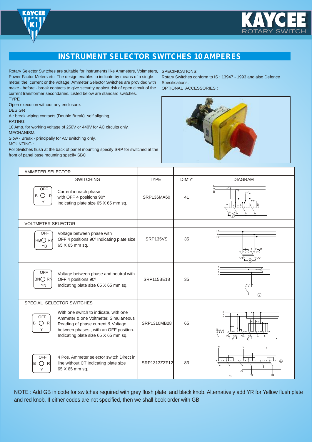



## **INSTRUMENT SELECTOR SWITCHES 10 AMPERES**

Rotary Selector Switches are suitable for instruments like Ammeters, Voltmeters, SPECIFICATIONS: Power Factor Meters etc. The design enables to indicate by means of a single meter, the current or the voltage. Ammeter Selector Switches are provided with make - before - break contacts to give security against risk of open circuit of the current transformer secondaries. Listed below are standard switches.

**TYPE** 

Open execution without any enclosure.

**DESIGN** Air break wiping contacts (Double Break) self aligning,

RATING:

10 Amp. for working voltage of 250V or 440V for AC circuits only.

**MECHANISM:** 

Slow - Break - principally for AC switching only.

MOUNTING :

For Switches flush at the back of panel mounting specify SRP for switched at the front of panel base mounting specify SBC

Rotary Switches conform to IS : 13947 - 1993 and also Defence Specifications.

OPTIONAL ACCESSORIES :



| <b>AMMETER SELECTOR</b>                                                                                                                                                                                                               |              |        |                                                       |
|---------------------------------------------------------------------------------------------------------------------------------------------------------------------------------------------------------------------------------------|--------------|--------|-------------------------------------------------------|
| <b>SWITCHING</b>                                                                                                                                                                                                                      | <b>TYPE</b>  | DIM'Y' | <b>DIAGRAM</b>                                        |
| <b>OFF</b><br>Current in each phase<br>B O<br>R<br>with OFF 4 positions 90°<br>Υ<br>Indicating plate size 65 X 65 mm sq.                                                                                                              | SRP136MA60   | 41     |                                                       |
| <b>VOLTMETER SELECTOR</b>                                                                                                                                                                                                             |              |        |                                                       |
| OFF<br>Voltage between phase with<br>OFF 4 positions 90° Indicating plate size<br><b>RB</b> ○RY<br>65 X 65 mm sq.<br><b>YB</b>                                                                                                        | SRP135VS     | 35     |                                                       |
| <b>OFF</b><br>Voltage between phase and neutral with<br>$BNO$ RN<br>OFF 4 positions 90°<br>Indicating plate size 65 X 65 mm sq.<br>YN                                                                                                 | SRP115BE18   | 35     | k۳,                                                   |
| SPECIAL SELECTOR SWITCHES                                                                                                                                                                                                             |              |        |                                                       |
| With one switch to indicate, with one<br>OFF<br>Ammeter & one Voltmeter, Simulaneous<br>В<br>$\bigcirc$ R<br>Reading of phase current & Voltage<br>Υ<br>between phases, with an OFF position.<br>Indicating plate size 65 X 65 mm sq. | SRP1310MB28  | 65     | $\mathbb{F}_{\infty}^{\text{max}}$                    |
| <b>OFF</b><br>4 Pos. Ammeter selector switch Direct in<br>line without CT Indicating plate size<br>ОR<br>lВ<br>65 X 65 mm sq.<br>Υ                                                                                                    | SRP1313ZZF12 | 83     | $\sqrt{2}$<br>gododddd<br>A1<br>Ý1<br><b>B1</b><br>R1 |

NOTE : Add GB in code for switches required with grey flush plate and black knob. Alternatively add YR for Yellow flush plate and red knob. If either codes are not specified, then we shall book order with GB.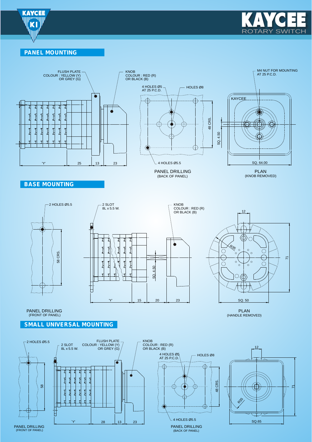



#### **PANEL MOUNTING**



**BASE MOUNTING**





(HANDLE REMOVED) PANEL DRILLING PLAN (FRONT OF PANEL)



**SMALL UNIVERSAL MOUNTING**



(BACK OF PANEL)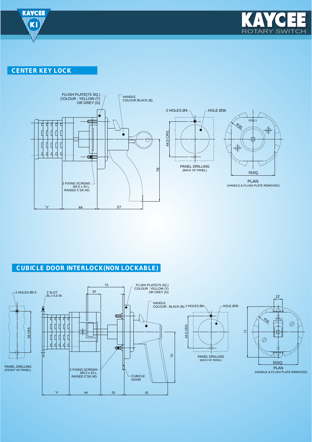

**CENTER KEY LOCK** 



### **CUBICLE DOOR INTERLOCK(NON LOCKABLE)**



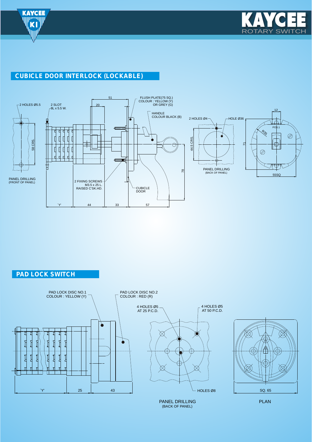



# **CUBICLE DOOR INTERLOCK (LOCKABLE)**



**PAD LOCK SWITCH**

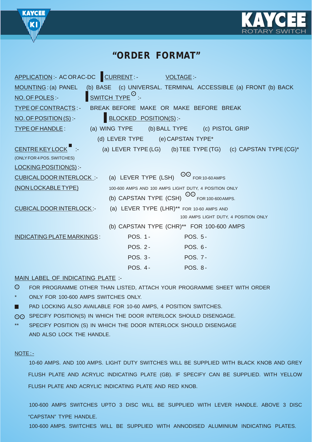



# **"ORDER FORMAT"**

| APPLICATION:- AC OR AC-DC CURRENT:-                                                                  |                                                       | <b>VOLTAGE:-</b>                     |                                                                 |
|------------------------------------------------------------------------------------------------------|-------------------------------------------------------|--------------------------------------|-----------------------------------------------------------------|
| MOUNTING: (a) PANEL (b) BASE (c) UNIVERSAL. TERMINAL ACCESSIBLE (a) FRONT (b) BACK<br>NO. OF POLES:- | $\frac{1}{2}$ SWITCH TYPE $\circlearrowright$ :-      |                                      |                                                                 |
| TYPE OF CONTRACTS:- BREAK BEFORE MAKE OR MAKE BEFORE BREAK                                           |                                                       |                                      |                                                                 |
| $NO.$ OF POSITION $(S)$ :-                                                                           | <b>BLOCKED POSITION(S):-</b>                          |                                      |                                                                 |
| TYPE OF HANDLE: (a) WING TYPE (b) BALL TYPE (c) PISTOL GRIP                                          |                                                       |                                      |                                                                 |
|                                                                                                      | (d) LEVER TYPE (e) CAPSTAN TYPE*                      |                                      |                                                                 |
| CENTRE KEY LOCK :-                                                                                   |                                                       |                                      | (a) LEVER TYPE (LG) (b) TEE TYPE (TG) (c) CAPSTAN TYPE $(CG)^*$ |
| (ONLY FOR 4 POS. SWITCHES)                                                                           |                                                       |                                      |                                                                 |
| <b>LOCKING POSITION(S):-</b>                                                                         |                                                       |                                      |                                                                 |
| CUBICALDOOR INTERLOCK: (a) LEVER TYPE (LSH) OO FOR 10-60 AMPS                                        |                                                       |                                      |                                                                 |
| (NON LOCKABLE TYPE)                                                                                  | 100-600 AMPS AND 100 AMPS LIGHT DUTY, 4 POSITION ONLY |                                      |                                                                 |
|                                                                                                      | (b) CAPSTAN TYPE (CSH) $^{OO}$ FOR 100-600 AMPS.      |                                      |                                                                 |
| <b>CUBICALDOOR INTERLOCK:-</b>                                                                       | (a) LEVER TYPE (LHR)** FOR 10-60 AMPS AND             |                                      |                                                                 |
|                                                                                                      |                                                       | 100 AMPS LIGHT DUTY, 4 POSITION ONLY |                                                                 |
|                                                                                                      | (b) CAPSTAN TYPE (CHR)** FOR 100-600 AMPS             |                                      |                                                                 |
| <b>INDICATING PLATE MARKINGS:</b>                                                                    | POS. 1-                                               | <b>POS. 5-</b>                       |                                                                 |
|                                                                                                      | <b>POS. 2-</b>                                        | POS. 6-                              |                                                                 |
|                                                                                                      | <b>POS. 3-</b>                                        | <b>POS. 7-</b>                       |                                                                 |
|                                                                                                      | <b>POS. 4-</b>                                        | <b>POS. 8-</b>                       |                                                                 |
|                                                                                                      |                                                       |                                      |                                                                 |

#### MAIN LABEL OF INDICATING PLATE :-

 $\odot$ FOR PROGRAMME OTHER THAN LISTED, ATTACH YOUR PROGRAMME SHEET WITH ORDER

- ONLY FOR 100-600 AMPS SWITCHES ONLY.
- PAD LOCKING ALSO AVAILABLE FOR 10-60 AMPS, 4 POSITION SWITCHES.
- $\odot$  SPECIFY POSITION(S) IN WHICH THE DOOR INTERLOCK SHOULD DISENGAGE.
- SPECIFY POSITION (S) IN WHICH THE DOOR INTERLOCK SHOULD DISENGAGE AND ALSO LOCK THE HANDLE.

#### NOTE : -

10-60 AMPS. AND 100 AMPS. LIGHT DUTY SWITCHES WILL BE SUPPLIED WITH BLACK KNOB AND GREY FLUSH PLATE AND ACRYLIC INDICATING PLATE (GB). IF SPECIFY CAN BE SUPPLIED. WITH YELLOW FLUSH PLATE AND ACRYLIC INDICATING PLATE AND RED KNOB.

100-600 AMPS SWITCHES UPTO 3 DISC WILL BE SUPPLIED WITH LEVER HANDLE. ABOVE 3 DISC "CAPSTAN" TYPE HANDLE.

100-600 AMPS. SWITCHES WILL BE SUPPLIED WITH ANNODISED ALUMINIUM INDICATING PLATES.